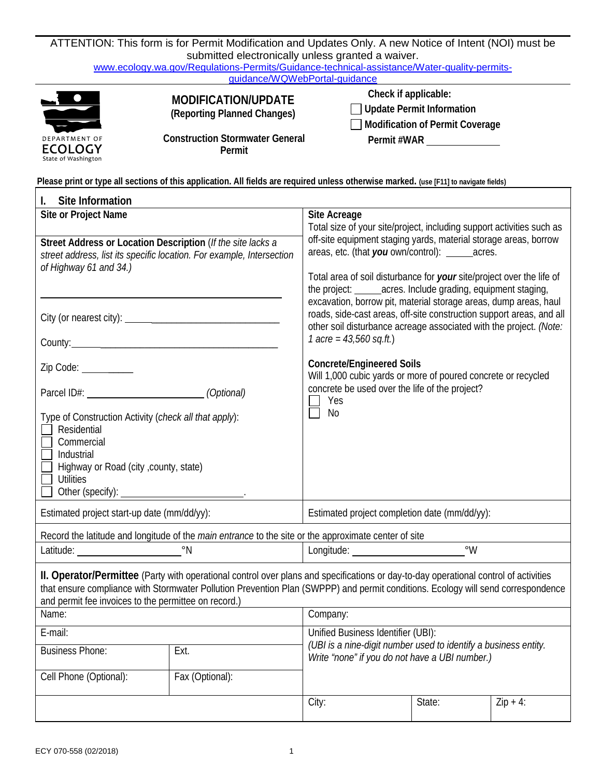| ATTENTION: This form is for Permit Modification and Updates Only. A new Notice of Intent (NOI) must be                                                                                                                                |                                                                                                                                                                                                                                                                          |                                                                                                                                                                                                                                                                                                                                                                                                                                |                                                                                           |             |  |  |
|---------------------------------------------------------------------------------------------------------------------------------------------------------------------------------------------------------------------------------------|--------------------------------------------------------------------------------------------------------------------------------------------------------------------------------------------------------------------------------------------------------------------------|--------------------------------------------------------------------------------------------------------------------------------------------------------------------------------------------------------------------------------------------------------------------------------------------------------------------------------------------------------------------------------------------------------------------------------|-------------------------------------------------------------------------------------------|-------------|--|--|
| submitted electronically unless granted a waiver.<br>www.ecology.wa.gov/Regulations-Permits/Guidance-technical-assistance/Water-quality-permits-<br>guidance/WQWebPortal-guidance                                                     |                                                                                                                                                                                                                                                                          |                                                                                                                                                                                                                                                                                                                                                                                                                                |                                                                                           |             |  |  |
| DEPARTMENT OF<br>ECOLOGY<br>State of Washington                                                                                                                                                                                       | MODIFICATION/UPDATE<br>(Reporting Planned Changes)<br><b>Construction Stormwater General</b><br>Permit                                                                                                                                                                   | Check if applicable:                                                                                                                                                                                                                                                                                                                                                                                                           | <b>Update Permit Information</b><br><b>Modification of Permit Coverage</b><br>Permit #WAR |             |  |  |
|                                                                                                                                                                                                                                       | Please print or type all sections of this application. All fields are required unless otherwise marked. (use [F11] to navigate fields)                                                                                                                                   |                                                                                                                                                                                                                                                                                                                                                                                                                                |                                                                                           |             |  |  |
| Site Information<br>I.                                                                                                                                                                                                                |                                                                                                                                                                                                                                                                          |                                                                                                                                                                                                                                                                                                                                                                                                                                |                                                                                           |             |  |  |
| Site or Project Name<br>Street Address or Location Description (If the site lacks a<br>street address, list its specific location. For example, Intersection<br>of Highway 61 and 34.)                                                |                                                                                                                                                                                                                                                                          | Site Acreage<br>Total size of your site/project, including support activities such as<br>off-site equipment staging yards, material storage areas, borrow<br>areas, etc. (that you own/control): _______acres.<br>Total area of soil disturbance for your site/project over the life of<br>the project: _______ acres. Include grading, equipment staging,<br>excavation, borrow pit, material storage areas, dump areas, haul |                                                                                           |             |  |  |
|                                                                                                                                                                                                                                       |                                                                                                                                                                                                                                                                          | roads, side-cast areas, off-site construction support areas, and all<br>other soil disturbance acreage associated with the project. (Note:<br>1 acre = $43,560$ sq.ft.)<br><b>Concrete/Engineered Soils</b><br>Will 1,000 cubic yards or more of poured concrete or recycled<br>concrete be used over the life of the project?<br>Yes<br>No                                                                                    |                                                                                           |             |  |  |
| Zip Code: _________<br>Parcel ID#: (Optional)<br>Type of Construction Activity (check all that apply):<br>Residential<br>Commercial<br>Industrial<br>Highway or Road (city , county, state)<br><b>Utilities</b><br>Other (specify): _ |                                                                                                                                                                                                                                                                          |                                                                                                                                                                                                                                                                                                                                                                                                                                |                                                                                           |             |  |  |
| Estimated project start-up date (mm/dd/yy):                                                                                                                                                                                           |                                                                                                                                                                                                                                                                          | Estimated project completion date (mm/dd/yy):                                                                                                                                                                                                                                                                                                                                                                                  |                                                                                           |             |  |  |
|                                                                                                                                                                                                                                       | Record the latitude and longitude of the main entrance to the site or the approximate center of site                                                                                                                                                                     |                                                                                                                                                                                                                                                                                                                                                                                                                                |                                                                                           |             |  |  |
| Latitude: New York Castle and Separate Contract Contract Contract Contract Contract Contract Contract Contract Contract Contract Contract Contract Contract Contract Contract Contract Contract Contract Contract Contract Con        |                                                                                                                                                                                                                                                                          | $\degree$ W<br>Longitude: New York 2014                                                                                                                                                                                                                                                                                                                                                                                        |                                                                                           |             |  |  |
| and permit fee invoices to the permittee on record.)<br>Name:                                                                                                                                                                         | II. Operator/Permittee (Party with operational control over plans and specifications or day-to-day operational control of activities<br>that ensure compliance with Stormwater Pollution Prevention Plan (SWPPP) and permit conditions. Ecology will send correspondence | Company:                                                                                                                                                                                                                                                                                                                                                                                                                       |                                                                                           |             |  |  |
| E-mail:                                                                                                                                                                                                                               |                                                                                                                                                                                                                                                                          | Unified Business Identifier (UBI):<br>(UBI is a nine-digit number used to identify a business entity.<br>Write "none" if you do not have a UBI number.)                                                                                                                                                                                                                                                                        |                                                                                           |             |  |  |
| <b>Business Phone:</b>                                                                                                                                                                                                                | Ext.                                                                                                                                                                                                                                                                     |                                                                                                                                                                                                                                                                                                                                                                                                                                |                                                                                           |             |  |  |
| Cell Phone (Optional):                                                                                                                                                                                                                | Fax (Optional):                                                                                                                                                                                                                                                          |                                                                                                                                                                                                                                                                                                                                                                                                                                |                                                                                           |             |  |  |
|                                                                                                                                                                                                                                       |                                                                                                                                                                                                                                                                          | City:                                                                                                                                                                                                                                                                                                                                                                                                                          | State:                                                                                    | $Zip + 4$ : |  |  |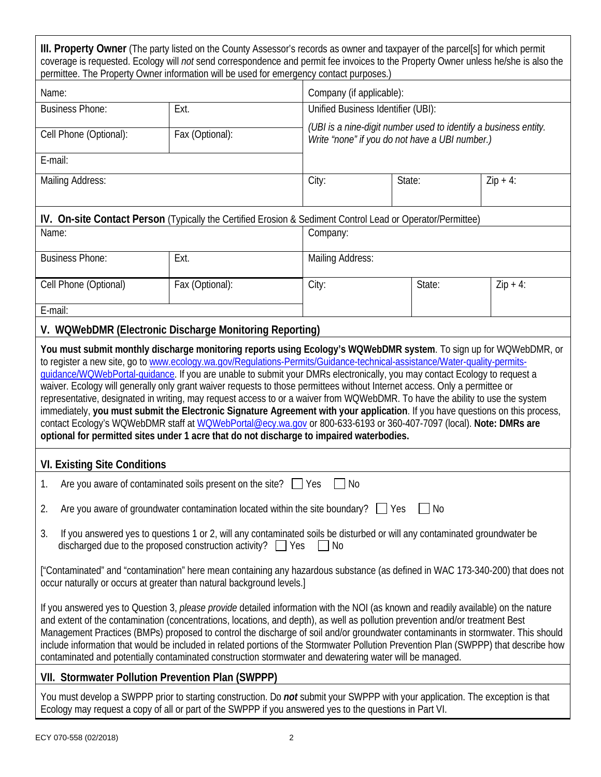| III. Property Owner (The party listed on the County Assessor's records as owner and taxpayer of the parcel[s] for which permit<br>coverage is requested. Ecology will not send correspondence and permit fee invoices to the Property Owner unless he/she is also the<br>permittee. The Property Owner information will be used for emergency contact purposes.)                                                                                                                                                                                                                                                                                                                                                                                                                                                                                                         |                                                         |                                                                                                                   |        |            |  |
|--------------------------------------------------------------------------------------------------------------------------------------------------------------------------------------------------------------------------------------------------------------------------------------------------------------------------------------------------------------------------------------------------------------------------------------------------------------------------------------------------------------------------------------------------------------------------------------------------------------------------------------------------------------------------------------------------------------------------------------------------------------------------------------------------------------------------------------------------------------------------|---------------------------------------------------------|-------------------------------------------------------------------------------------------------------------------|--------|------------|--|
| Name:                                                                                                                                                                                                                                                                                                                                                                                                                                                                                                                                                                                                                                                                                                                                                                                                                                                                    |                                                         | Company (if applicable):                                                                                          |        |            |  |
| <b>Business Phone:</b>                                                                                                                                                                                                                                                                                                                                                                                                                                                                                                                                                                                                                                                                                                                                                                                                                                                   | Ext.                                                    | Unified Business Identifier (UBI):                                                                                |        |            |  |
| Cell Phone (Optional):                                                                                                                                                                                                                                                                                                                                                                                                                                                                                                                                                                                                                                                                                                                                                                                                                                                   | Fax (Optional):                                         | (UBI is a nine-digit number used to identify a business entity.<br>Write "none" if you do not have a UBI number.) |        |            |  |
| E-mail:                                                                                                                                                                                                                                                                                                                                                                                                                                                                                                                                                                                                                                                                                                                                                                                                                                                                  |                                                         |                                                                                                                   |        |            |  |
| Mailing Address:                                                                                                                                                                                                                                                                                                                                                                                                                                                                                                                                                                                                                                                                                                                                                                                                                                                         |                                                         | City:                                                                                                             | State: | $Zip + 4:$ |  |
|                                                                                                                                                                                                                                                                                                                                                                                                                                                                                                                                                                                                                                                                                                                                                                                                                                                                          |                                                         | IV. On-site Contact Person (Typically the Certified Erosion & Sediment Control Lead or Operator/Permittee)        |        |            |  |
| Name:                                                                                                                                                                                                                                                                                                                                                                                                                                                                                                                                                                                                                                                                                                                                                                                                                                                                    |                                                         | Company:                                                                                                          |        |            |  |
| <b>Business Phone:</b>                                                                                                                                                                                                                                                                                                                                                                                                                                                                                                                                                                                                                                                                                                                                                                                                                                                   | Ext.                                                    | Mailing Address:                                                                                                  |        |            |  |
| Cell Phone (Optional)                                                                                                                                                                                                                                                                                                                                                                                                                                                                                                                                                                                                                                                                                                                                                                                                                                                    | Fax (Optional):                                         | City:<br>State:                                                                                                   |        | $Zip + 4:$ |  |
| E-mail:                                                                                                                                                                                                                                                                                                                                                                                                                                                                                                                                                                                                                                                                                                                                                                                                                                                                  |                                                         |                                                                                                                   |        |            |  |
|                                                                                                                                                                                                                                                                                                                                                                                                                                                                                                                                                                                                                                                                                                                                                                                                                                                                          | V. WQWebDMR (Electronic Discharge Monitoring Reporting) |                                                                                                                   |        |            |  |
| to register a new site, go to www.ecology.wa.gov/Regulations-Permits/Guidance-technical-assistance/Water-quality-permits-<br>guidance/WQWebPortal-quidance. If you are unable to submit your DMRs electronically, you may contact Ecology to request a<br>waiver. Ecology will generally only grant waiver requests to those permittees without Internet access. Only a permittee or<br>representative, designated in writing, may request access to or a waiver from WQWebDMR. To have the ability to use the system<br>immediately, you must submit the Electronic Signature Agreement with your application. If you have questions on this process,<br>contact Ecology's WQWebDMR staff at WQWebPortal@ecy.wa.gov or 800-633-6193 or 360-407-7097 (local). Note: DMRs are<br>optional for permitted sites under 1 acre that do not discharge to impaired waterbodies. |                                                         |                                                                                                                   |        |            |  |
| <b>VI. Existing Site Conditions</b>                                                                                                                                                                                                                                                                                                                                                                                                                                                                                                                                                                                                                                                                                                                                                                                                                                      |                                                         |                                                                                                                   |        |            |  |
| 1.<br>Are you aware of contaminated soils present on the site? $\Box$ Yes<br>No                                                                                                                                                                                                                                                                                                                                                                                                                                                                                                                                                                                                                                                                                                                                                                                          |                                                         |                                                                                                                   |        |            |  |
| Are you aware of groundwater contamination located within the site boundary? $\Box$ Yes<br>2.<br>$\blacksquare$ No                                                                                                                                                                                                                                                                                                                                                                                                                                                                                                                                                                                                                                                                                                                                                       |                                                         |                                                                                                                   |        |            |  |
| If you answered yes to questions 1 or 2, will any contaminated soils be disturbed or will any contaminated groundwater be<br>3.<br>discharged due to the proposed construction activity? $\Box$ Yes<br>$\Box$ No                                                                                                                                                                                                                                                                                                                                                                                                                                                                                                                                                                                                                                                         |                                                         |                                                                                                                   |        |            |  |
| ["Contaminated" and "contamination" here mean containing any hazardous substance (as defined in WAC 173-340-200) that does not<br>occur naturally or occurs at greater than natural background levels.]                                                                                                                                                                                                                                                                                                                                                                                                                                                                                                                                                                                                                                                                  |                                                         |                                                                                                                   |        |            |  |
| If you answered yes to Question 3, please provide detailed information with the NOI (as known and readily available) on the nature<br>and extent of the contamination (concentrations, locations, and depth), as well as pollution prevention and/or treatment Best<br>Management Practices (BMPs) proposed to control the discharge of soil and/or groundwater contaminants in stormwater. This should<br>include information that would be included in related portions of the Stormwater Pollution Prevention Plan (SWPPP) that describe how<br>contaminated and potentially contaminated construction stormwater and dewatering water will be managed.                                                                                                                                                                                                               |                                                         |                                                                                                                   |        |            |  |
| VII. Stormwater Pollution Prevention Plan (SWPPP)                                                                                                                                                                                                                                                                                                                                                                                                                                                                                                                                                                                                                                                                                                                                                                                                                        |                                                         |                                                                                                                   |        |            |  |
| You must develop a SWPPP prior to starting construction. Do not submit your SWPPP with your application. The exception is that<br>Ecology may request a copy of all or part of the SWPPP if you answered yes to the questions in Part VI.                                                                                                                                                                                                                                                                                                                                                                                                                                                                                                                                                                                                                                |                                                         |                                                                                                                   |        |            |  |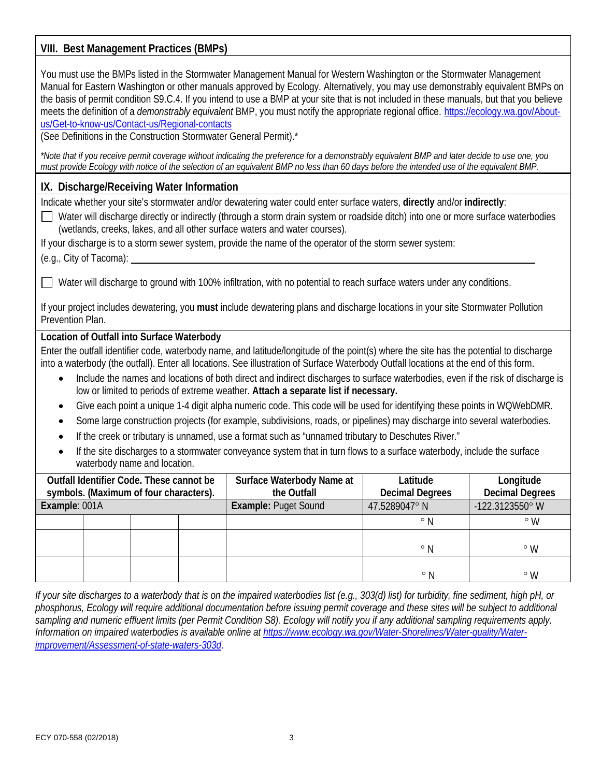# **VIII. Best Management Practices (BMPs)**

You must use the BMPs listed in the Stormwater Management Manual for Western Washington or the Stormwater Management Manual for Eastern Washington or other manuals approved by Ecology. Alternatively, you may use demonstrably equivalent BMPs on the basis of permit condition S9.C.4. If you intend to use a BMP at your site that is not included in these manuals, but that you believe meets the definition of a *demonstrably equivalent* BMP, you must notify the appropriate regional office. [https://ecology.wa.gov/About](https://ecology.wa.gov/About-us/Get-to-know-us/Contact-us/Regional-contacts)[us/Get-to-know-us/Contact-us/Regional-contacts](https://ecology.wa.gov/About-us/Get-to-know-us/Contact-us/Regional-contacts)

(See Definitions in the Construction Stormwater General Permit).\*

*\*Note that if you receive permit coverage without indicating the preference for a demonstrably equivalent BMP and later decide to use one, you must provide Ecology with notice of the selection of an equivalent BMP no less than 60 days before the intended use of the equivalent BMP.*

## **IX. Discharge/Receiving Water Information**

Indicate whether your site's stormwater and/or dewatering water could enter surface waters, **directly** and/or *indirectly*:

 $\Box$  Water will discharge directly or indirectly (through a storm drain system or roadside ditch) into one or more surface waterbodies (wetlands, creeks, lakes, and all other surface waters and water courses).

If your discharge is to a storm sewer system, provide the name of the operator of the storm sewer system:

(e.g., City of Tacoma):

 $\Box$  Water will discharge to ground with 100% infiltration, with no potential to reach surface waters under any conditions.

If your project includes dewatering, you **must** include dewatering plans and discharge locations in your site Stormwater Pollution Prevention Plan.

#### **Location of Outfall into Surface Waterbody**

Enter the outfall identifier code, waterbody name, and latitude/longitude of the point(s) where the site has the potential to discharge into a waterbody (the outfall). Enter all locations. See illustration of Surface Waterbody Outfall locations at the end of this form.

- Include the names and locations of both direct and indirect discharges to surface waterbodies, even if the risk of discharge is low or limited to periods of extreme weather. **Attach a separate list if necessary.**
- Give each point a unique 1-4 digit alpha numeric code. This code will be used for identifying these points in WQWebDMR.
- Some large construction projects (for example, subdivisions, roads, or pipelines) may discharge into several waterbodies.
- If the creek or tributary is unnamed, use a format such as "unnamed tributary to Deschutes River."
- If the site discharges to a stormwater conveyance system that in turn flows to a surface waterbody, include the surface waterbody name and location.

| Outfall Identifier Code. These cannot be<br>symbols. (Maximum of four characters). |  | Surface Waterbody Name at<br>the Outfall | Latitude<br><b>Decimal Degrees</b> | Longitude<br><b>Decimal Degrees</b> |                 |
|------------------------------------------------------------------------------------|--|------------------------------------------|------------------------------------|-------------------------------------|-----------------|
| Example: 001A                                                                      |  |                                          | <b>Example: Puget Sound</b>        | 47.5289047°N                        | -122.3123550° W |
|                                                                                    |  |                                          |                                    | $^{\circ}$ N                        | $\circ$ M       |
|                                                                                    |  |                                          |                                    | $^{\circ}$ N                        | $\circ$ M       |
|                                                                                    |  |                                          |                                    | $^{\circ}$ N                        | $\circ$ M       |

*If your site discharges to a waterbody that is on the impaired waterbodies list (e.g., 303(d) list) for turbidity, fine sediment, high pH, or phosphorus, Ecology will require additional documentation before issuing permit coverage and these sites will be subject to additional sampling and numeric effluent limits (per Permit Condition S8). Ecology will notify you if any additional sampling requirements apply. Information on impaired waterbodies is available online at [https://www.ecology.wa.gov/Water-Shorelines/Water-quality/Water](https://www.ecology.wa.gov/Water-Shorelines/Water-quality/Water-improvement/Assessment-of-state-waters-303d)[improvement/Assessment-of-state-waters-303d](https://www.ecology.wa.gov/Water-Shorelines/Water-quality/Water-improvement/Assessment-of-state-waters-303d)*.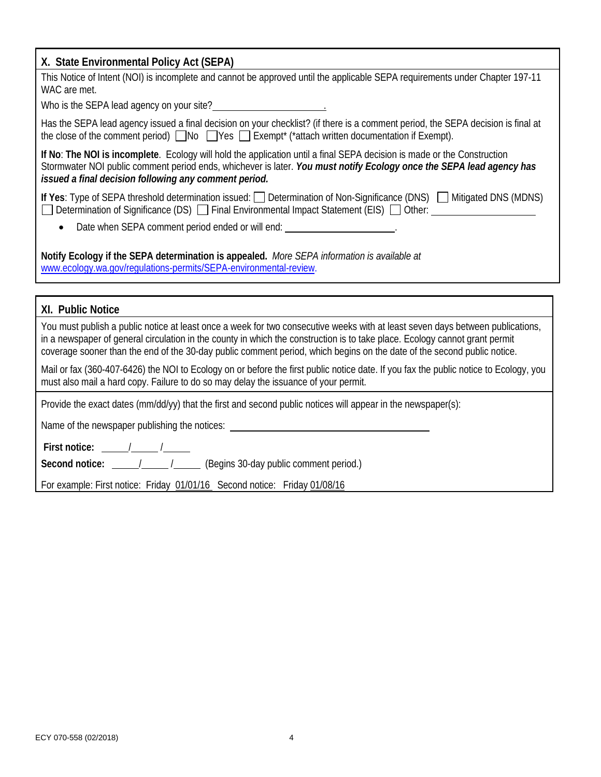| X. State Environmental Policy Act (SEPA)                                                                                                                                                                                                                                                                                                                                                 |
|------------------------------------------------------------------------------------------------------------------------------------------------------------------------------------------------------------------------------------------------------------------------------------------------------------------------------------------------------------------------------------------|
| This Notice of Intent (NOI) is incomplete and cannot be approved until the applicable SEPA requirements under Chapter 197-11<br>WAC are met.                                                                                                                                                                                                                                             |
| Who is the SEPA lead agency on your site?<br><u> </u>                                                                                                                                                                                                                                                                                                                                    |
| Has the SEPA lead agency issued a final decision on your checklist? (if there is a comment period, the SEPA decision is final at<br>the close of the comment period) $\Box$ No $\Box$ Yes $\Box$ Exempt* (*attach written documentation if Exempt).                                                                                                                                      |
| If No: The NOI is incomplete. Ecology will hold the application until a final SEPA decision is made or the Construction<br>Stormwater NOI public comment period ends, whichever is later. You must notify Ecology once the SEPA lead agency has<br>issued a final decision following any comment period.                                                                                 |
| If Yes: Type of SEPA threshold determination issued: Determination of Non-Significance (DNS) Mitigated DNS (MDNS)<br>Determination of Significance (DS) □ Final Environmental Impact Statement (EIS) □ Other: _____________________                                                                                                                                                      |
| Date when SEPA comment period ended or will end: _______________________.                                                                                                                                                                                                                                                                                                                |
| Notify Ecology if the SEPA determination is appealed. More SEPA information is available at<br>www.ecology.wa.gov/regulations-permits/SEPA-environmental-review.                                                                                                                                                                                                                         |
| XI. Public Notice                                                                                                                                                                                                                                                                                                                                                                        |
| You must publish a public notice at least once a week for two consecutive weeks with at least seven days between publications,<br>in a newspaper of general circulation in the county in which the construction is to take place. Ecology cannot grant permit<br>coverage sooner than the end of the 30-day public comment period, which begins on the date of the second public notice. |
| Mail or fax (360-407-6426) the NOI to Ecology on or before the first public notice date. If you fax the public notice to Ecology, you<br>must also mail a hard copy. Failure to do so may delay the issuance of your permit.                                                                                                                                                             |
| Provide the exact dates (mm/dd/yy) that the first and second public notices will appear in the newspaper(s):                                                                                                                                                                                                                                                                             |
| Name of the newspaper publishing the notices: __________________________________                                                                                                                                                                                                                                                                                                         |
| First notice: $\frac{\sqrt{1-\frac{1}{2}}}{\sqrt{1-\frac{1}{2}}}}$                                                                                                                                                                                                                                                                                                                       |
|                                                                                                                                                                                                                                                                                                                                                                                          |
| For example: First notice: Friday 01/01/16 Second notice: Friday 01/08/16                                                                                                                                                                                                                                                                                                                |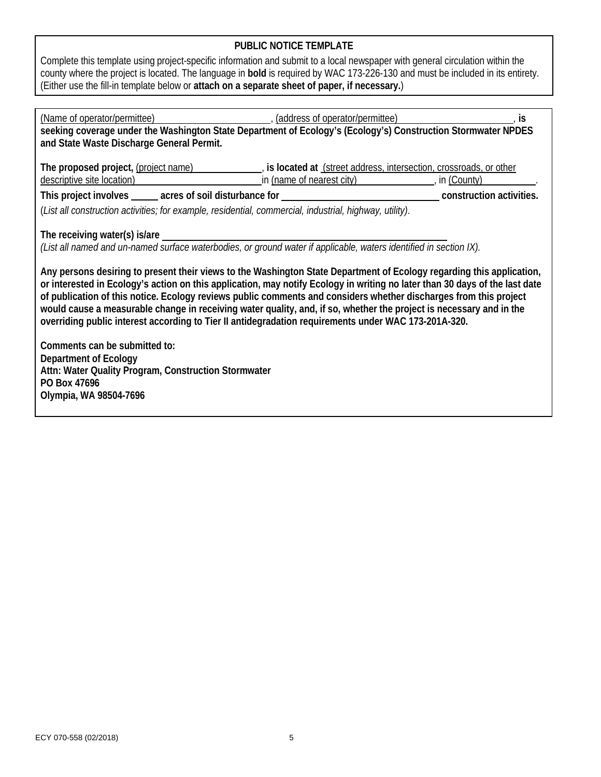## **PUBLIC NOTICE TEMPLATE**

Complete this template using project-specific information and submit to a local newspaper with general circulation within the county where the project is located. The language in **bold** is required by WAC 173-226-130 and must be included in its entirety. (Either use the fill-in template below or **attach on a separate sheet of paper, if necessary.**)

| (Name of operator/permittee) (address of operator/permittee) (and response to the state of operator/permittee)                                                                                                                                                                                                                                                                                                                                                                                                                                                                                                                                                                                                                                                                                                                                                                                                                                                                                                 |                                            |  |  |  |  |
|----------------------------------------------------------------------------------------------------------------------------------------------------------------------------------------------------------------------------------------------------------------------------------------------------------------------------------------------------------------------------------------------------------------------------------------------------------------------------------------------------------------------------------------------------------------------------------------------------------------------------------------------------------------------------------------------------------------------------------------------------------------------------------------------------------------------------------------------------------------------------------------------------------------------------------------------------------------------------------------------------------------|--------------------------------------------|--|--|--|--|
| seeking coverage under the Washington State Department of Ecology's (Ecology's) Construction Stormwater NPDES                                                                                                                                                                                                                                                                                                                                                                                                                                                                                                                                                                                                                                                                                                                                                                                                                                                                                                  |                                            |  |  |  |  |
| and State Waste Discharge General Permit.                                                                                                                                                                                                                                                                                                                                                                                                                                                                                                                                                                                                                                                                                                                                                                                                                                                                                                                                                                      |                                            |  |  |  |  |
| The proposed project, (project name) (is located at (street address, intersection, crossroads, or other<br>descriptive site location) example and the set of the set of the set of the set of the set of the set of the set of the set of the set of the set of the set of the set of the set of the set of the set of the set of the set                                                                                                                                                                                                                                                                                                                                                                                                                                                                                                                                                                                                                                                                      | in (name of nearest city) [10] in (County) |  |  |  |  |
|                                                                                                                                                                                                                                                                                                                                                                                                                                                                                                                                                                                                                                                                                                                                                                                                                                                                                                                                                                                                                |                                            |  |  |  |  |
|                                                                                                                                                                                                                                                                                                                                                                                                                                                                                                                                                                                                                                                                                                                                                                                                                                                                                                                                                                                                                |                                            |  |  |  |  |
| (List all construction activities; for example, residential, commercial, industrial, highway, utility).<br>The receiving water(s) is/are _<br>(List all named and un-named surface waterbodies, or ground water if applicable, waters identified in section IX).<br>Any persons desiring to present their views to the Washington State Department of Ecology regarding this application,<br>or interested in Ecology's action on this application, may notify Ecology in writing no later than 30 days of the last date<br>of publication of this notice. Ecology reviews public comments and considers whether discharges from this project<br>would cause a measurable change in receiving water quality, and, if so, whether the project is necessary and in the<br>overriding public interest according to Tier II antidegradation requirements under WAC 173-201A-320.<br>Comments can be submitted to:<br>Department of Ecology<br>Attn: Water Quality Program, Construction Stormwater<br>PO Box 47696 |                                            |  |  |  |  |
| Olympia, WA 98504-7696                                                                                                                                                                                                                                                                                                                                                                                                                                                                                                                                                                                                                                                                                                                                                                                                                                                                                                                                                                                         |                                            |  |  |  |  |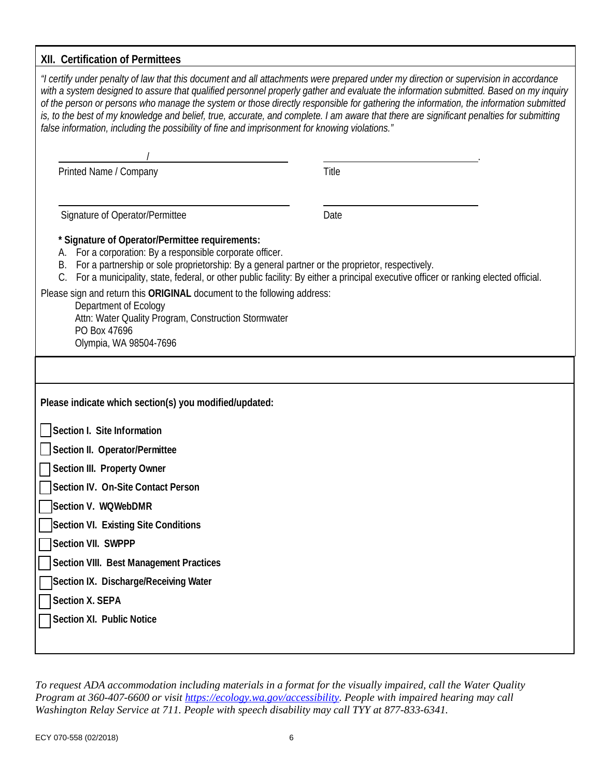# **XII. Certification of Permittees**

| "I certify under penalty of law that this document and all attachments were prepared under my direction or supervision in accordance<br>with a system designed to assure that qualified personnel properly gather and evaluate the information submitted. Based on my inquiry<br>of the person or persons who manage the system or those directly responsible for gathering the information, the information submitted<br>is, to the best of my knowledge and belief, true, accurate, and complete. I am aware that there are significant penalties for submitting<br>false information, including the possibility of fine and imprisonment for knowing violations." |       |  |  |  |
|----------------------------------------------------------------------------------------------------------------------------------------------------------------------------------------------------------------------------------------------------------------------------------------------------------------------------------------------------------------------------------------------------------------------------------------------------------------------------------------------------------------------------------------------------------------------------------------------------------------------------------------------------------------------|-------|--|--|--|
|                                                                                                                                                                                                                                                                                                                                                                                                                                                                                                                                                                                                                                                                      |       |  |  |  |
| Printed Name / Company                                                                                                                                                                                                                                                                                                                                                                                                                                                                                                                                                                                                                                               | Title |  |  |  |
|                                                                                                                                                                                                                                                                                                                                                                                                                                                                                                                                                                                                                                                                      |       |  |  |  |
| Signature of Operator/Permittee                                                                                                                                                                                                                                                                                                                                                                                                                                                                                                                                                                                                                                      | Date  |  |  |  |
| * Signature of Operator/Permittee requirements:<br>A. For a corporation: By a responsible corporate officer.<br>B. For a partnership or sole proprietorship: By a general partner or the proprietor, respectively.<br>For a municipality, state, federal, or other public facility: By either a principal executive officer or ranking elected official.<br>Please sign and return this ORIGINAL document to the following address:<br>Department of Ecology<br>Attn: Water Quality Program, Construction Stormwater<br>PO Box 47696<br>Olympia, WA 98504-7696                                                                                                       |       |  |  |  |
|                                                                                                                                                                                                                                                                                                                                                                                                                                                                                                                                                                                                                                                                      |       |  |  |  |
| Please indicate which section(s) you modified/updated:                                                                                                                                                                                                                                                                                                                                                                                                                                                                                                                                                                                                               |       |  |  |  |
| Section I. Site Information                                                                                                                                                                                                                                                                                                                                                                                                                                                                                                                                                                                                                                          |       |  |  |  |
| Section II. Operator/Permittee                                                                                                                                                                                                                                                                                                                                                                                                                                                                                                                                                                                                                                       |       |  |  |  |
| Section III. Property Owner                                                                                                                                                                                                                                                                                                                                                                                                                                                                                                                                                                                                                                          |       |  |  |  |
| Section IV. On-Site Contact Person                                                                                                                                                                                                                                                                                                                                                                                                                                                                                                                                                                                                                                   |       |  |  |  |
| Section V. WQWebDMR                                                                                                                                                                                                                                                                                                                                                                                                                                                                                                                                                                                                                                                  |       |  |  |  |
| Section VI. Existing Site Conditions                                                                                                                                                                                                                                                                                                                                                                                                                                                                                                                                                                                                                                 |       |  |  |  |
| Section VII. SWPPP                                                                                                                                                                                                                                                                                                                                                                                                                                                                                                                                                                                                                                                   |       |  |  |  |
| Section VIII. Best Management Practices                                                                                                                                                                                                                                                                                                                                                                                                                                                                                                                                                                                                                              |       |  |  |  |
| Section IX. Discharge/Receiving Water                                                                                                                                                                                                                                                                                                                                                                                                                                                                                                                                                                                                                                |       |  |  |  |
| Section X. SEPA                                                                                                                                                                                                                                                                                                                                                                                                                                                                                                                                                                                                                                                      |       |  |  |  |
| Section XI. Public Notice                                                                                                                                                                                                                                                                                                                                                                                                                                                                                                                                                                                                                                            |       |  |  |  |
|                                                                                                                                                                                                                                                                                                                                                                                                                                                                                                                                                                                                                                                                      |       |  |  |  |

*To request ADA accommodation including materials in a format for the visually impaired, call the Water Quality Program at 360-407-6600 or visit [https://ecology.wa.gov/accessibility.](https://ecology.wa.gov/accessibility) People with impaired hearing may call Washington Relay Service at 711. People with speech disability may call TYY at 877-833-6341.*